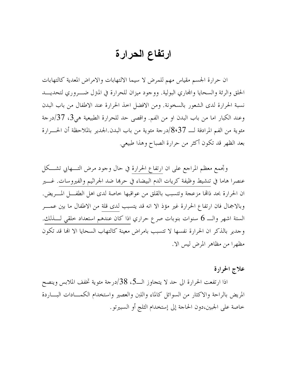## ارتفاع الحرارة

ان حرارة الجسم مقياس مهم للمرض لا سيما الالتهابات والامراض المعدية كالتهابات الحلق والرئة والسحايا والمحاري البولية. ووجود ميزان للحرارة في المترل ضــروري لتحديـــد نسبة الحرارة لدى الشعور بالسخونة. ومن الافضل احذ الحرارة عند الاطفال من باب البدن وعند الكبار اما من باب البدن او من الفم. واقصى حد للحرارة الطبيعية هي3، 37/درجة مئوية من الفم المرادفة لـــ 8،37/درجة مئوية من باب البدن.الجدير بالملاحظة أن الحــــرارة بعد الظهر قد تكون أكثر من حرارة الصباح وهذا طبيعي.

وتجمع معظم المراجع على ان ارتفاع الحرارة في حال وجود مرض التــــهابي تشــــكل عنصرا هاما في تنشيط وظيفة كريات الدم البيضاء في حرها ضد الحراثيم والفيروسات. غــــير ان الحرارة بحد ذامًا مزعجة وتتسبب بالقلق من عواقبها خاصة لدى اهل الطفــــل المــــريض. وبالاجمال فان ارتفاع الحرارة غير مؤذ الا انه قد يتسبب لدى قلة من الاطفال ما بين عمـــر الستة اشهر والـــ 6 سنوات بنوبات صرع حراري اذا كان عندهم استعداد حلقي لــــذلك. وجدير بالذكر ان الحرارة نفسها لا تتسبب بامراض معينة كالتهاب السحايا الا الها قد تكون مظهرا من مظاهر المرض ليس الا.

علاج الحرارة

اذا ارتفعت الحرارة الى حد لا يتحاوز الــ3، 38/درجة مئوية تخفف الملابس وينصح المريض بالراحة والاكثار من السوائل كالماء واللبن والعصير واستخدام الكمـــادات البـــاردة خاصة على الجبين،دون الحاجة إلى إستخدام الثلج أو السبيرتو.